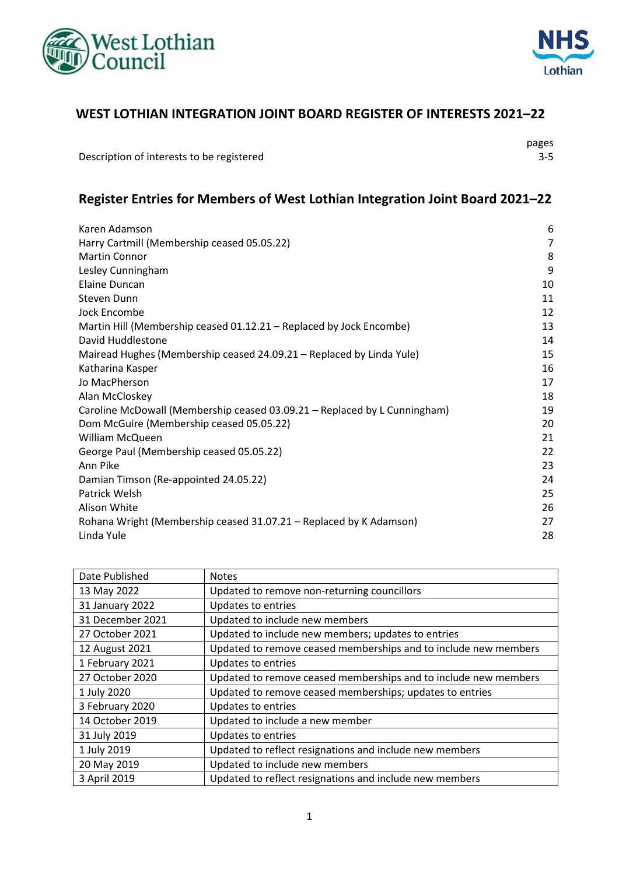



#### **WEST LOTHIAN INTEGRATION JOINT BOARD REGISTER OF INTERESTS 2021–22**

Description of interests to be registered 3-5

pages

### **Register Entries for Members of West Lothian Integration Joint Board 2021–22**

| Karen Adamson                                                             | 6  |
|---------------------------------------------------------------------------|----|
| Harry Cartmill (Membership ceased 05.05.22)                               | 7  |
| <b>Martin Connor</b>                                                      | 8  |
| Lesley Cunningham                                                         | 9  |
| Elaine Duncan                                                             | 10 |
| Steven Dunn                                                               | 11 |
| Jock Encombe                                                              | 12 |
| Martin Hill (Membership ceased 01.12.21 – Replaced by Jock Encombe)       | 13 |
| David Huddlestone                                                         | 14 |
| Mairead Hughes (Membership ceased 24.09.21 – Replaced by Linda Yule)      | 15 |
| Katharina Kasper                                                          | 16 |
| Jo MacPherson                                                             | 17 |
| Alan McCloskey                                                            | 18 |
| Caroline McDowall (Membership ceased 03.09.21 - Replaced by L Cunningham) | 19 |
| Dom McGuire (Membership ceased 05.05.22)                                  | 20 |
| <b>William McQueen</b>                                                    | 21 |
| George Paul (Membership ceased 05.05.22)                                  | 22 |
| Ann Pike                                                                  | 23 |
| Damian Timson (Re-appointed 24.05.22)                                     | 24 |
| Patrick Welsh                                                             | 25 |
| Alison White                                                              | 26 |
| Rohana Wright (Membership ceased 31.07.21 – Replaced by K Adamson)        | 27 |
| Linda Yule                                                                | 28 |
|                                                                           |    |

| Date Published   | <b>Notes</b>                                                    |
|------------------|-----------------------------------------------------------------|
| 13 May 2022      | Updated to remove non-returning councillors                     |
| 31 January 2022  | Updates to entries                                              |
| 31 December 2021 | Updated to include new members                                  |
| 27 October 2021  | Updated to include new members; updates to entries              |
| 12 August 2021   | Updated to remove ceased memberships and to include new members |
| 1 February 2021  | <b>Updates to entries</b>                                       |
| 27 October 2020  | Updated to remove ceased memberships and to include new members |
| 1 July 2020      | Updated to remove ceased memberships; updates to entries        |
| 3 February 2020  | Updates to entries                                              |
| 14 October 2019  | Updated to include a new member                                 |
| 31 July 2019     | Updates to entries                                              |
| 1 July 2019      | Updated to reflect resignations and include new members         |
| 20 May 2019      | Updated to include new members                                  |
| 3 April 2019     | Updated to reflect resignations and include new members         |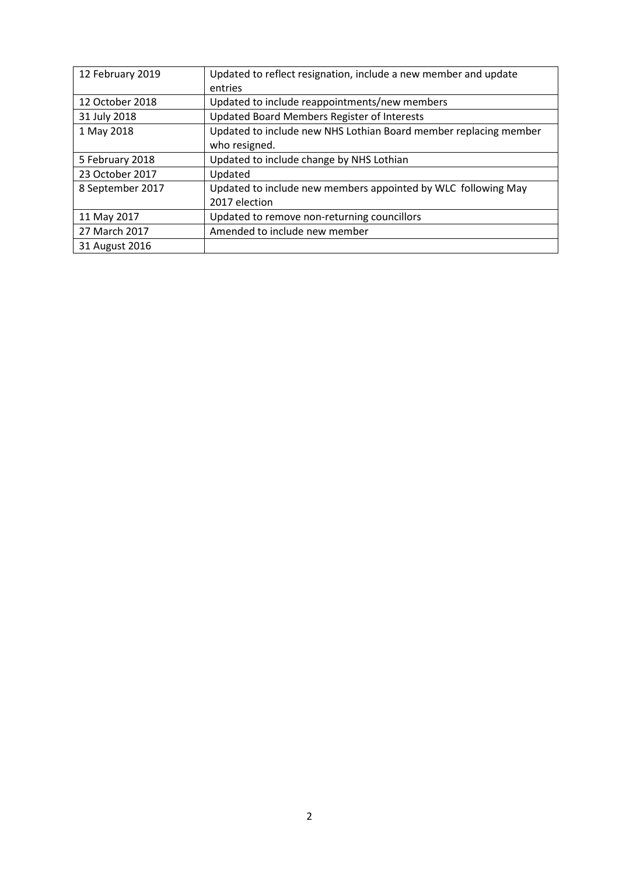| 12 February 2019 | Updated to reflect resignation, include a new member and update  |
|------------------|------------------------------------------------------------------|
|                  | entries                                                          |
| 12 October 2018  | Updated to include reappointments/new members                    |
| 31 July 2018     | Updated Board Members Register of Interests                      |
| 1 May 2018       | Updated to include new NHS Lothian Board member replacing member |
|                  | who resigned.                                                    |
| 5 February 2018  | Updated to include change by NHS Lothian                         |
| 23 October 2017  | Updated                                                          |
| 8 September 2017 | Updated to include new members appointed by WLC following May    |
|                  | 2017 election                                                    |
| 11 May 2017      | Updated to remove non-returning councillors                      |
| 27 March 2017    | Amended to include new member                                    |
| 31 August 2016   |                                                                  |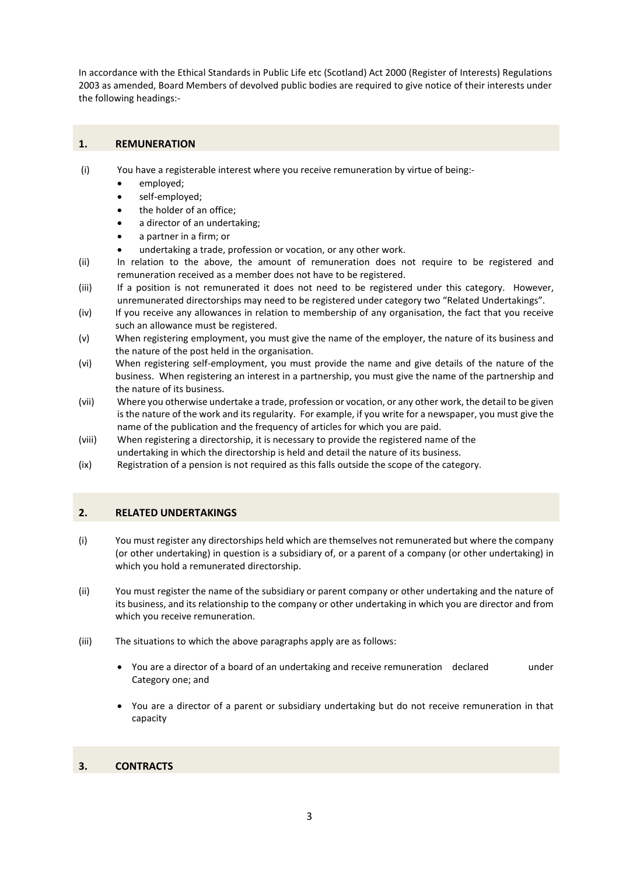In accordance with the Ethical Standards in Public Life etc (Scotland) Act 2000 (Register of Interests) Regulations 2003 as amended, Board Members of devolved public bodies are required to give notice of their interests under the following headings:-

#### **1. REMUNERATION**

- (i) You have a registerable interest where you receive remuneration by virtue of being:-
	- employed;
	- self-employed;
	- the holder of an office;
	- a director of an undertaking;
	- a partner in a firm; or
	- undertaking a trade, profession or vocation, or any other work.
- (ii) In relation to the above, the amount of remuneration does not require to be registered and remuneration received as a member does not have to be registered.
- (iii) If a position is not remunerated it does not need to be registered under this category. However, unremunerated directorships may need to be registered under category two "Related Undertakings".
- (iv) If you receive any allowances in relation to membership of any organisation, the fact that you receive such an allowance must be registered.
- (v) When registering employment, you must give the name of the employer, the nature of its business and the nature of the post held in the organisation.
- (vi) When registering self-employment, you must provide the name and give details of the nature of the business. When registering an interest in a partnership, you must give the name of the partnership and the nature of its business.
- (vii) Where you otherwise undertake a trade, profession or vocation, or any other work, the detail to be given is the nature of the work and its regularity. For example, if you write for a newspaper, you must give the name of the publication and the frequency of articles for which you are paid.
- (viii) When registering a directorship, it is necessary to provide the registered name of the
- undertaking in which the directorship is held and detail the nature of its business.
- (ix) Registration of a pension is not required as this falls outside the scope of the category.

#### **2. RELATED UNDERTAKINGS**

- (i) You must register any directorships held which are themselves not remunerated but where the company (or other undertaking) in question is a subsidiary of, or a parent of a company (or other undertaking) in which you hold a remunerated directorship.
- (ii) You must register the name of the subsidiary or parent company or other undertaking and the nature of its business, and its relationship to the company or other undertaking in which you are director and from which you receive remuneration.
- (iii) The situations to which the above paragraphs apply are as follows:
	- You are a director of a board of an undertaking and receive remuneration declared under Category one; and
	- You are a director of a parent or subsidiary undertaking but do not receive remuneration in that capacity

#### **3. CONTRACTS**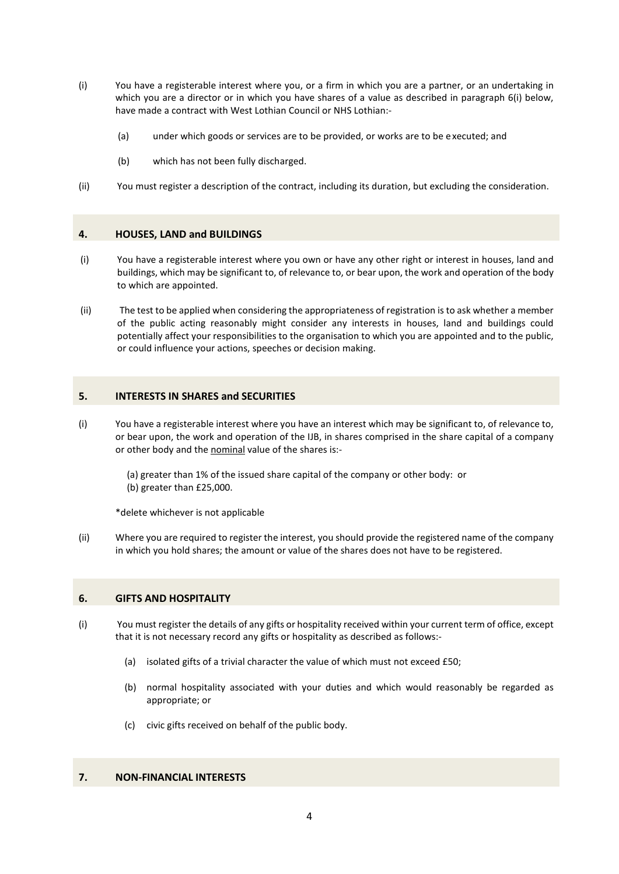- (i) You have a registerable interest where you, or a firm in which you are a partner, or an undertaking in which you are a director or in which you have shares of a value as described in paragraph 6(i) below, have made a contract with West Lothian Council or NHS Lothian:-
	- (a) under which goods or services are to be provided, or works are to be e xecuted; and
	- (b) which has not been fully discharged.
- (ii) You must register a description of the contract, including its duration, but excluding the consideration.

#### **4. HOUSES, LAND and BUILDINGS**

- (i) You have a registerable interest where you own or have any other right or interest in houses, land and buildings, which may be significant to, of relevance to, or bear upon, the work and operation of the body to which are appointed.
- (ii) The test to be applied when considering the appropriateness of registration is to ask whether a member of the public acting reasonably might consider any interests in houses, land and buildings could potentially affect your responsibilities to the organisation to which you are appointed and to the public, or could influence your actions, speeches or decision making.

#### **5. INTERESTS IN SHARES and SECURITIES**

(i) You have a registerable interest where you have an interest which may be significant to, of relevance to, or bear upon, the work and operation of the IJB, in shares comprised in the share capital of a company or other body and the nominal value of the shares is:-

(a) greater than 1% of the issued share capital of the company or other body: or (b) greater than £25,000.

\*delete whichever is not applicable

(ii) Where you are required to register the interest, you should provide the registered name of the company in which you hold shares; the amount or value of the shares does not have to be registered.

#### **6. GIFTS AND HOSPITALITY**

- (i) You must register the details of any gifts or hospitality received within your current term of office, except that it is not necessary record any gifts or hospitality as described as follows:-
	- (a) isolated gifts of a trivial character the value of which must not exceed £50;
	- (b) normal hospitality associated with your duties and which would reasonably be regarded as appropriate; or
	- (c) civic gifts received on behalf of the public body.

#### **7. NON-FINANCIAL INTERESTS**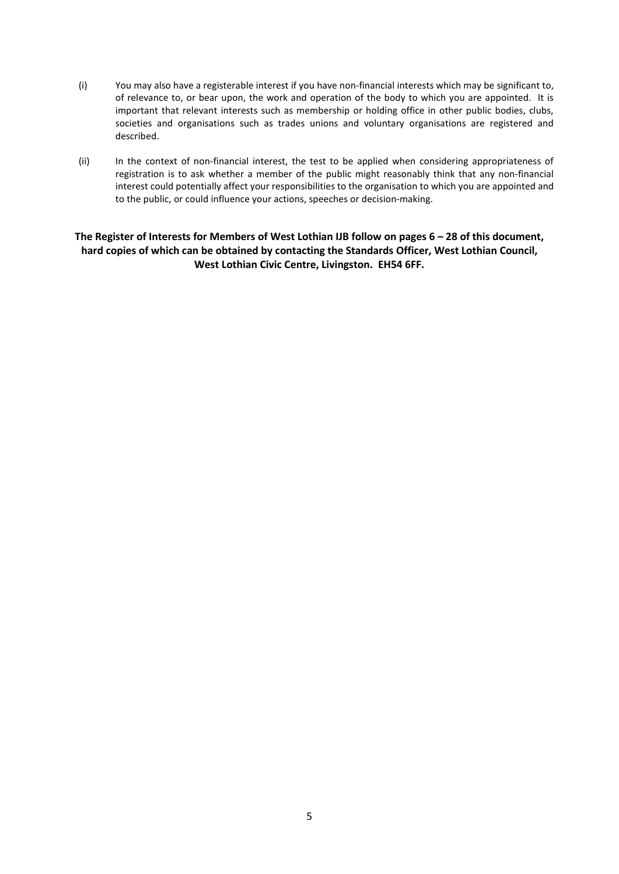- (i) You may also have a registerable interest if you have non-financial interests which may be significant to, of relevance to, or bear upon, the work and operation of the body to which you are appointed. It is important that relevant interests such as membership or holding office in other public bodies, clubs, societies and organisations such as trades unions and voluntary organisations are registered and described.
- (ii) In the context of non-financial interest, the test to be applied when considering appropriateness of registration is to ask whether a member of the public might reasonably think that any non-financial interest could potentially affect your responsibilities to the organisation to which you are appointed and to the public, or could influence your actions, speeches or decision-making.

**The Register of Interests for Members of West Lothian IJB follow on pages 6 – 28 of this document, hard copies of which can be obtained by contacting the Standards Officer, West Lothian Council, West Lothian Civic Centre, Livingston. EH54 6FF.**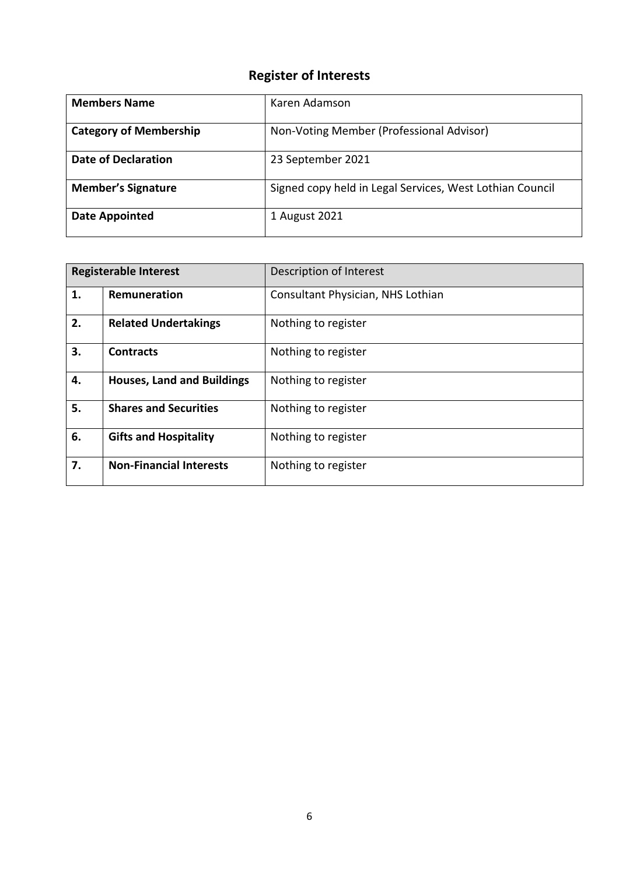| <b>Members Name</b>           | Karen Adamson                                            |
|-------------------------------|----------------------------------------------------------|
| <b>Category of Membership</b> | Non-Voting Member (Professional Advisor)                 |
| <b>Date of Declaration</b>    | 23 September 2021                                        |
| <b>Member's Signature</b>     | Signed copy held in Legal Services, West Lothian Council |
| <b>Date Appointed</b>         | 1 August 2021                                            |

|    | <b>Registerable Interest</b>      | Description of Interest           |
|----|-----------------------------------|-----------------------------------|
| 1. | Remuneration                      | Consultant Physician, NHS Lothian |
| 2. | <b>Related Undertakings</b>       | Nothing to register               |
| 3. | <b>Contracts</b>                  | Nothing to register               |
| 4. | <b>Houses, Land and Buildings</b> | Nothing to register               |
| 5. | <b>Shares and Securities</b>      | Nothing to register               |
| 6. | <b>Gifts and Hospitality</b>      | Nothing to register               |
| 7. | <b>Non-Financial Interests</b>    | Nothing to register               |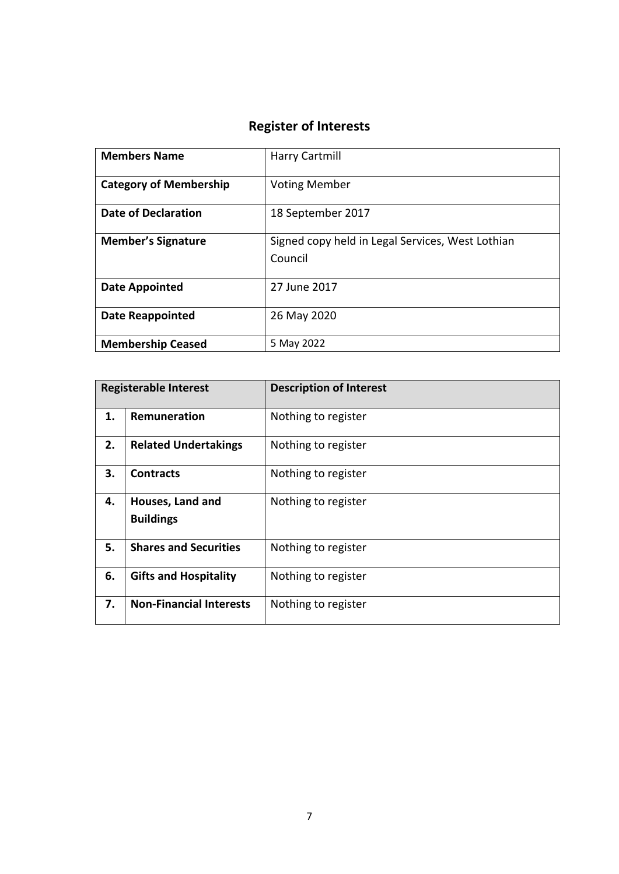| <b>Members Name</b>           | Harry Cartmill                                              |
|-------------------------------|-------------------------------------------------------------|
| <b>Category of Membership</b> | <b>Voting Member</b>                                        |
| Date of Declaration           | 18 September 2017                                           |
| <b>Member's Signature</b>     | Signed copy held in Legal Services, West Lothian<br>Council |
| <b>Date Appointed</b>         | 27 June 2017                                                |
| <b>Date Reappointed</b>       | 26 May 2020                                                 |
| <b>Membership Ceased</b>      | 5 May 2022                                                  |

|    | <b>Registerable Interest</b>   | <b>Description of Interest</b> |
|----|--------------------------------|--------------------------------|
| 1. | Remuneration                   | Nothing to register            |
| 2. | <b>Related Undertakings</b>    | Nothing to register            |
| 3. | <b>Contracts</b>               | Nothing to register            |
| 4. | Houses, Land and               | Nothing to register            |
|    | <b>Buildings</b>               |                                |
| 5. | <b>Shares and Securities</b>   | Nothing to register            |
| 6. | <b>Gifts and Hospitality</b>   | Nothing to register            |
| 7. | <b>Non-Financial Interests</b> | Nothing to register            |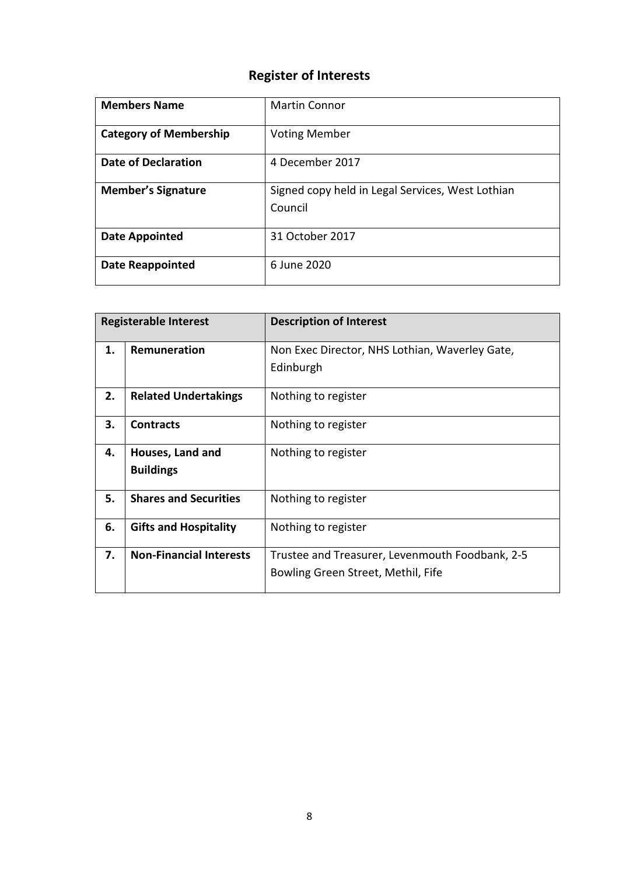| <b>Members Name</b>           | <b>Martin Connor</b>                                        |
|-------------------------------|-------------------------------------------------------------|
| <b>Category of Membership</b> | <b>Voting Member</b>                                        |
| <b>Date of Declaration</b>    | 4 December 2017                                             |
| <b>Member's Signature</b>     | Signed copy held in Legal Services, West Lothian<br>Council |
| Date Appointed                | 31 October 2017                                             |
| <b>Date Reappointed</b>       | 6 June 2020                                                 |

|    | <b>Registerable Interest</b>   | <b>Description of Interest</b>                  |
|----|--------------------------------|-------------------------------------------------|
| 1. | Remuneration                   | Non Exec Director, NHS Lothian, Waverley Gate,  |
|    |                                | Edinburgh                                       |
| 2. | <b>Related Undertakings</b>    | Nothing to register                             |
| 3. | <b>Contracts</b>               | Nothing to register                             |
| 4. | Houses, Land and               | Nothing to register                             |
|    | <b>Buildings</b>               |                                                 |
| 5. | <b>Shares and Securities</b>   | Nothing to register                             |
| 6. | <b>Gifts and Hospitality</b>   | Nothing to register                             |
| 7. | <b>Non-Financial Interests</b> | Trustee and Treasurer, Levenmouth Foodbank, 2-5 |
|    |                                | Bowling Green Street, Methil, Fife              |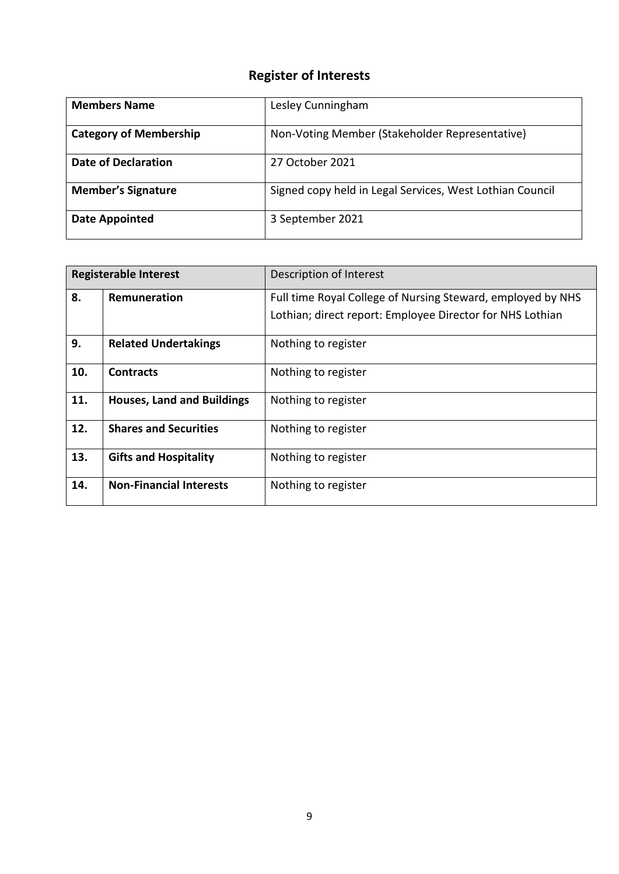| <b>Members Name</b>           | Lesley Cunningham                                        |
|-------------------------------|----------------------------------------------------------|
| <b>Category of Membership</b> | Non-Voting Member (Stakeholder Representative)           |
| <b>Date of Declaration</b>    | 27 October 2021                                          |
| <b>Member's Signature</b>     | Signed copy held in Legal Services, West Lothian Council |
| <b>Date Appointed</b>         | 3 September 2021                                         |

|     | <b>Registerable Interest</b>      | Description of Interest                                     |
|-----|-----------------------------------|-------------------------------------------------------------|
| 8.  | Remuneration                      | Full time Royal College of Nursing Steward, employed by NHS |
|     |                                   | Lothian; direct report: Employee Director for NHS Lothian   |
| 9.  | <b>Related Undertakings</b>       | Nothing to register                                         |
| 10. | <b>Contracts</b>                  | Nothing to register                                         |
| 11. | <b>Houses, Land and Buildings</b> | Nothing to register                                         |
| 12. | <b>Shares and Securities</b>      | Nothing to register                                         |
| 13. | <b>Gifts and Hospitality</b>      | Nothing to register                                         |
| 14. | <b>Non-Financial Interests</b>    | Nothing to register                                         |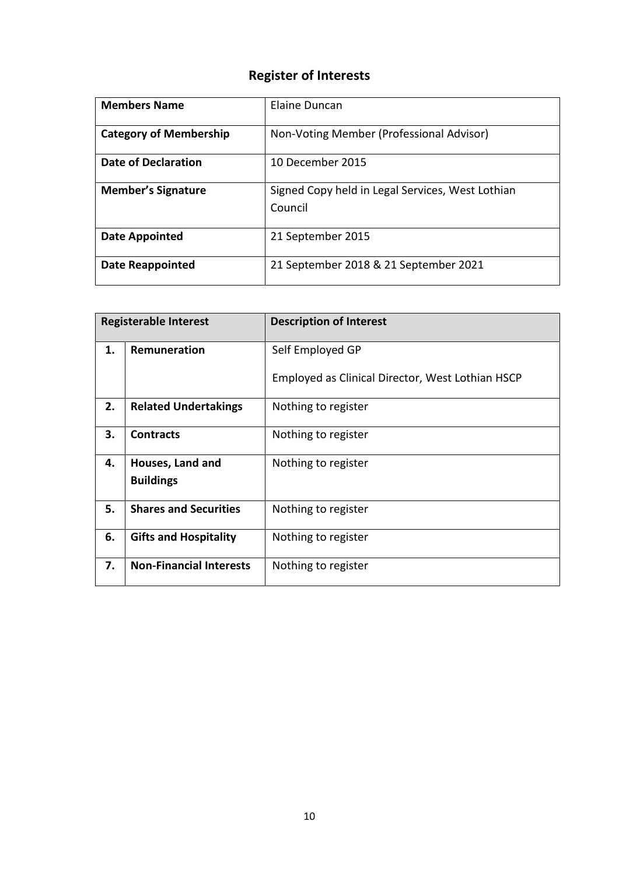| <b>Members Name</b>           | Elaine Duncan                                               |
|-------------------------------|-------------------------------------------------------------|
| <b>Category of Membership</b> | Non-Voting Member (Professional Advisor)                    |
| Date of Declaration           | 10 December 2015                                            |
| <b>Member's Signature</b>     | Signed Copy held in Legal Services, West Lothian<br>Council |
| Date Appointed                | 21 September 2015                                           |
| <b>Date Reappointed</b>       | 21 September 2018 & 21 September 2021                       |

| <b>Registerable Interest</b> |                                | <b>Description of Interest</b>                   |
|------------------------------|--------------------------------|--------------------------------------------------|
| 1.                           | Remuneration                   | Self Employed GP                                 |
|                              |                                | Employed as Clinical Director, West Lothian HSCP |
| 2.                           | <b>Related Undertakings</b>    | Nothing to register                              |
| 3.                           | <b>Contracts</b>               | Nothing to register                              |
| 4.                           | Houses, Land and               | Nothing to register                              |
|                              | <b>Buildings</b>               |                                                  |
| 5.                           | <b>Shares and Securities</b>   | Nothing to register                              |
| 6.                           | <b>Gifts and Hospitality</b>   | Nothing to register                              |
| 7.                           | <b>Non-Financial Interests</b> | Nothing to register                              |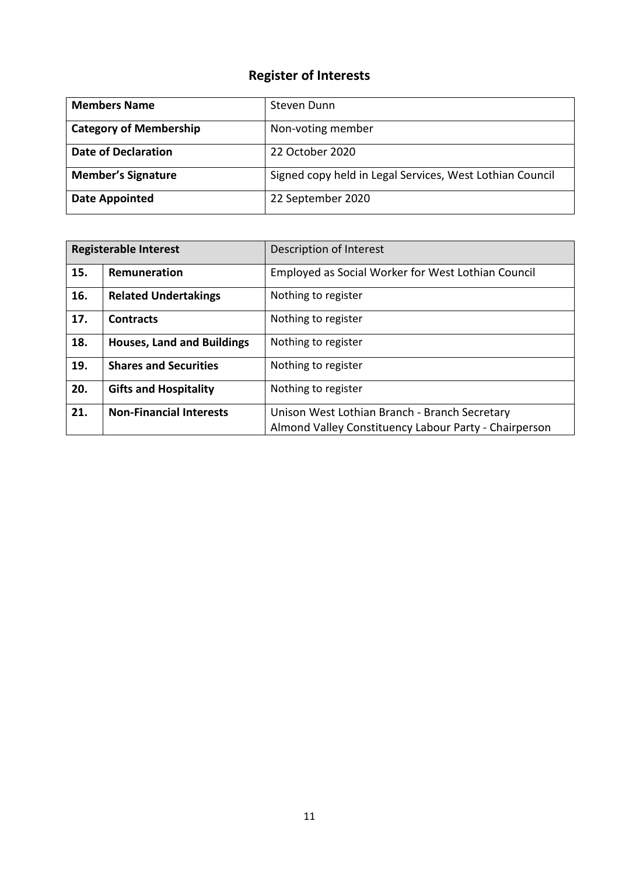| <b>Members Name</b>           | Steven Dunn                                              |
|-------------------------------|----------------------------------------------------------|
| <b>Category of Membership</b> | Non-voting member                                        |
| <b>Date of Declaration</b>    | 22 October 2020                                          |
| <b>Member's Signature</b>     | Signed copy held in Legal Services, West Lothian Council |
| <b>Date Appointed</b>         | 22 September 2020                                        |

| <b>Registerable Interest</b> |                                   | Description of Interest                               |
|------------------------------|-----------------------------------|-------------------------------------------------------|
| 15.                          | Remuneration                      | Employed as Social Worker for West Lothian Council    |
| 16.                          | <b>Related Undertakings</b>       | Nothing to register                                   |
| 17.                          | <b>Contracts</b>                  | Nothing to register                                   |
| 18.                          | <b>Houses, Land and Buildings</b> | Nothing to register                                   |
| 19.                          | <b>Shares and Securities</b>      | Nothing to register                                   |
| 20.                          | <b>Gifts and Hospitality</b>      | Nothing to register                                   |
| 21.                          | <b>Non-Financial Interests</b>    | Unison West Lothian Branch - Branch Secretary         |
|                              |                                   | Almond Valley Constituency Labour Party - Chairperson |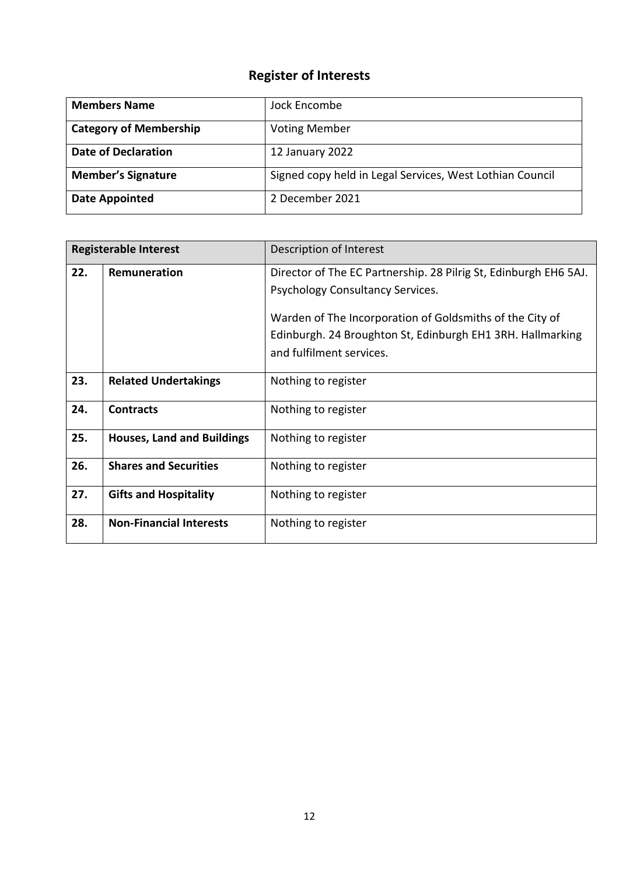| <b>Members Name</b>           | Jock Encombe                                             |
|-------------------------------|----------------------------------------------------------|
| <b>Category of Membership</b> | <b>Voting Member</b>                                     |
| <b>Date of Declaration</b>    | 12 January 2022                                          |
| <b>Member's Signature</b>     | Signed copy held in Legal Services, West Lothian Council |
| <b>Date Appointed</b>         | 2 December 2021                                          |

| <b>Registerable Interest</b> |                                   | Description of Interest                                                                                                                            |
|------------------------------|-----------------------------------|----------------------------------------------------------------------------------------------------------------------------------------------------|
| 22.                          | Remuneration                      | Director of The EC Partnership. 28 Pilrig St, Edinburgh EH6 5AJ.<br>Psychology Consultancy Services.                                               |
|                              |                                   | Warden of The Incorporation of Goldsmiths of the City of<br>Edinburgh. 24 Broughton St, Edinburgh EH1 3RH. Hallmarking<br>and fulfilment services. |
| 23.                          | <b>Related Undertakings</b>       | Nothing to register                                                                                                                                |
| 24.                          | <b>Contracts</b>                  | Nothing to register                                                                                                                                |
| 25.                          | <b>Houses, Land and Buildings</b> | Nothing to register                                                                                                                                |
| 26.                          | <b>Shares and Securities</b>      | Nothing to register                                                                                                                                |
| 27.                          | <b>Gifts and Hospitality</b>      | Nothing to register                                                                                                                                |
| 28.                          | <b>Non-Financial Interests</b>    | Nothing to register                                                                                                                                |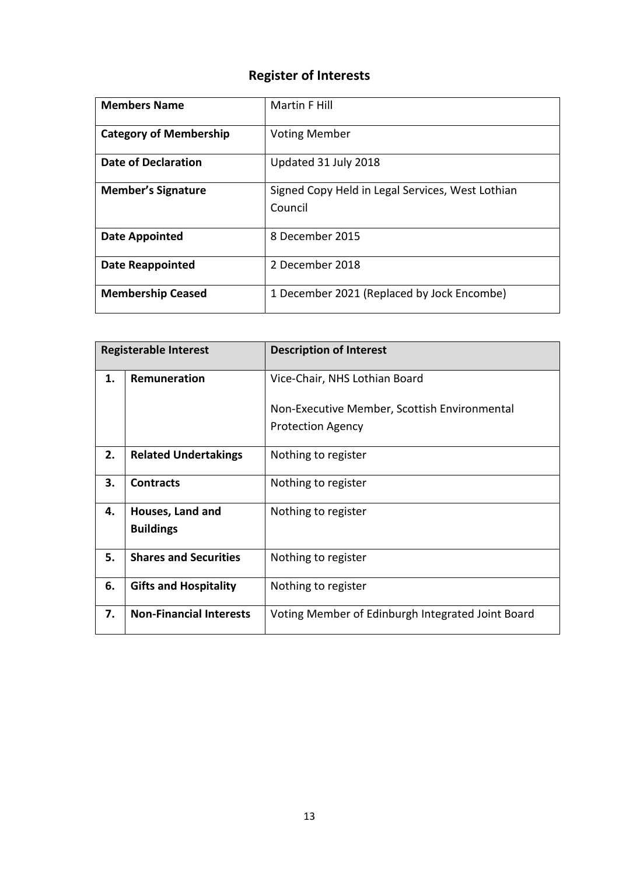| <b>Members Name</b>           | Martin F Hill                                               |
|-------------------------------|-------------------------------------------------------------|
| <b>Category of Membership</b> | <b>Voting Member</b>                                        |
| <b>Date of Declaration</b>    | Updated 31 July 2018                                        |
| <b>Member's Signature</b>     | Signed Copy Held in Legal Services, West Lothian<br>Council |
| <b>Date Appointed</b>         | 8 December 2015                                             |
| <b>Date Reappointed</b>       | 2 December 2018                                             |
| <b>Membership Ceased</b>      | 1 December 2021 (Replaced by Jock Encombe)                  |

| <b>Registerable Interest</b> |                                      | <b>Description of Interest</b>                    |
|------------------------------|--------------------------------------|---------------------------------------------------|
| 1.                           | Remuneration                         | Vice-Chair, NHS Lothian Board                     |
|                              |                                      | Non-Executive Member, Scottish Environmental      |
|                              |                                      | <b>Protection Agency</b>                          |
| 2.                           | <b>Related Undertakings</b>          | Nothing to register                               |
| 3.                           | <b>Contracts</b>                     | Nothing to register                               |
| 4.                           | Houses, Land and<br><b>Buildings</b> | Nothing to register                               |
| 5.                           | <b>Shares and Securities</b>         | Nothing to register                               |
| 6.                           | <b>Gifts and Hospitality</b>         | Nothing to register                               |
| 7.                           | <b>Non-Financial Interests</b>       | Voting Member of Edinburgh Integrated Joint Board |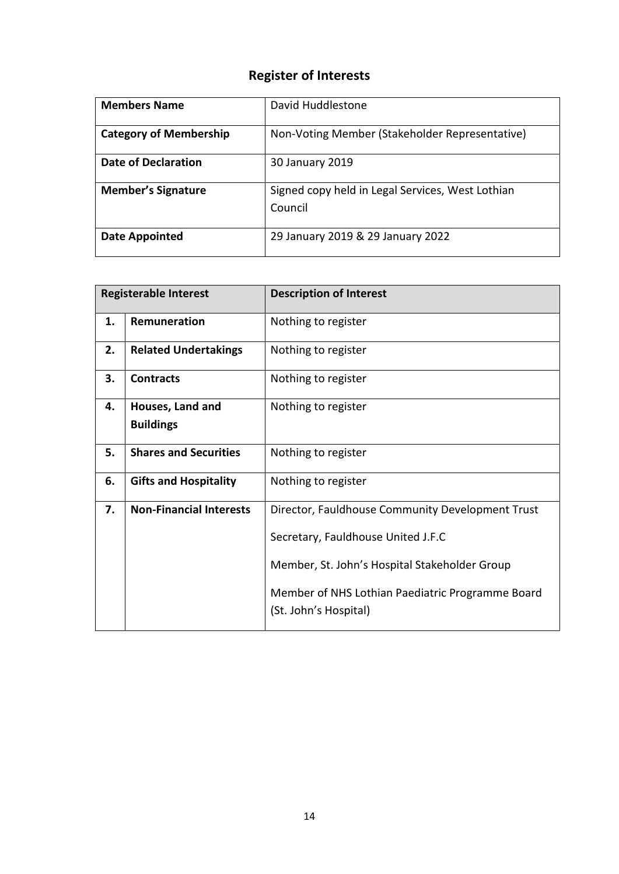| <b>Members Name</b>           | David Huddlestone                                           |
|-------------------------------|-------------------------------------------------------------|
| <b>Category of Membership</b> | Non-Voting Member (Stakeholder Representative)              |
| Date of Declaration           | 30 January 2019                                             |
| <b>Member's Signature</b>     | Signed copy held in Legal Services, West Lothian<br>Council |
| Date Appointed                | 29 January 2019 & 29 January 2022                           |

| <b>Registerable Interest</b> |                                      | <b>Description of Interest</b>                                                                                                                                                                                       |
|------------------------------|--------------------------------------|----------------------------------------------------------------------------------------------------------------------------------------------------------------------------------------------------------------------|
| 1.                           | Remuneration                         | Nothing to register                                                                                                                                                                                                  |
| 2.                           | <b>Related Undertakings</b>          | Nothing to register                                                                                                                                                                                                  |
| 3.                           | <b>Contracts</b>                     | Nothing to register                                                                                                                                                                                                  |
| 4.                           | Houses, Land and<br><b>Buildings</b> | Nothing to register                                                                                                                                                                                                  |
| 5.                           | <b>Shares and Securities</b>         | Nothing to register                                                                                                                                                                                                  |
| 6.                           | <b>Gifts and Hospitality</b>         | Nothing to register                                                                                                                                                                                                  |
| 7.                           | <b>Non-Financial Interests</b>       | Director, Fauldhouse Community Development Trust<br>Secretary, Fauldhouse United J.F.C<br>Member, St. John's Hospital Stakeholder Group<br>Member of NHS Lothian Paediatric Programme Board<br>(St. John's Hospital) |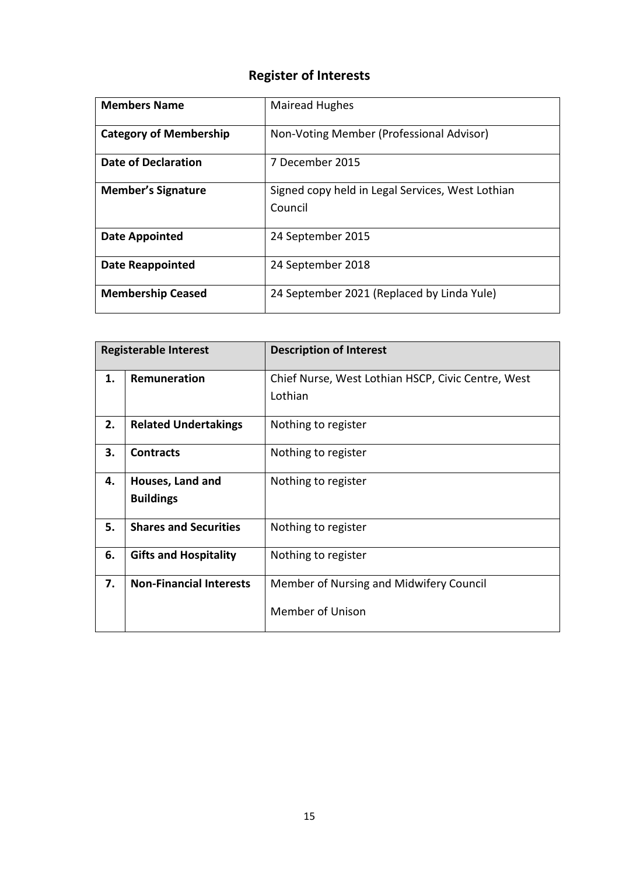| <b>Members Name</b>           | <b>Mairead Hughes</b>                                       |
|-------------------------------|-------------------------------------------------------------|
| <b>Category of Membership</b> | Non-Voting Member (Professional Advisor)                    |
| <b>Date of Declaration</b>    | 7 December 2015                                             |
| <b>Member's Signature</b>     | Signed copy held in Legal Services, West Lothian<br>Council |
| Date Appointed                | 24 September 2015                                           |
| <b>Date Reappointed</b>       | 24 September 2018                                           |
| <b>Membership Ceased</b>      | 24 September 2021 (Replaced by Linda Yule)                  |

| <b>Registerable Interest</b> |                                | <b>Description of Interest</b>                     |
|------------------------------|--------------------------------|----------------------------------------------------|
| 1.                           | Remuneration                   | Chief Nurse, West Lothian HSCP, Civic Centre, West |
|                              |                                | Lothian                                            |
| 2.                           | <b>Related Undertakings</b>    | Nothing to register                                |
| 3.                           | <b>Contracts</b>               | Nothing to register                                |
| 4.                           | Houses, Land and               | Nothing to register                                |
|                              | <b>Buildings</b>               |                                                    |
| 5.                           | <b>Shares and Securities</b>   | Nothing to register                                |
| 6.                           | <b>Gifts and Hospitality</b>   | Nothing to register                                |
| 7.                           | <b>Non-Financial Interests</b> | Member of Nursing and Midwifery Council            |
|                              |                                | <b>Member of Unison</b>                            |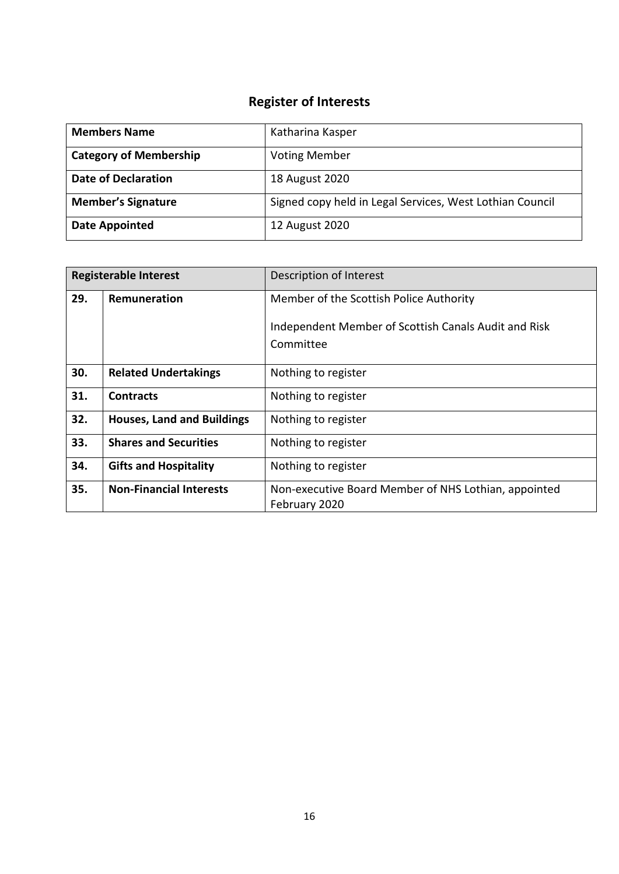| <b>Members Name</b>           | Katharina Kasper                                         |
|-------------------------------|----------------------------------------------------------|
| <b>Category of Membership</b> | <b>Voting Member</b>                                     |
| <b>Date of Declaration</b>    | 18 August 2020                                           |
| <b>Member's Signature</b>     | Signed copy held in Legal Services, West Lothian Council |
| <b>Date Appointed</b>         | 12 August 2020                                           |

| <b>Registerable Interest</b> |                                   | Description of Interest                                               |
|------------------------------|-----------------------------------|-----------------------------------------------------------------------|
| 29.                          | Remuneration                      | Member of the Scottish Police Authority                               |
|                              |                                   | Independent Member of Scottish Canals Audit and Risk                  |
|                              |                                   | Committee                                                             |
| 30.                          | <b>Related Undertakings</b>       | Nothing to register                                                   |
| 31.                          | <b>Contracts</b>                  | Nothing to register                                                   |
| 32.                          | <b>Houses, Land and Buildings</b> | Nothing to register                                                   |
| 33.                          | <b>Shares and Securities</b>      | Nothing to register                                                   |
| 34.                          | <b>Gifts and Hospitality</b>      | Nothing to register                                                   |
| 35.                          | <b>Non-Financial Interests</b>    | Non-executive Board Member of NHS Lothian, appointed<br>February 2020 |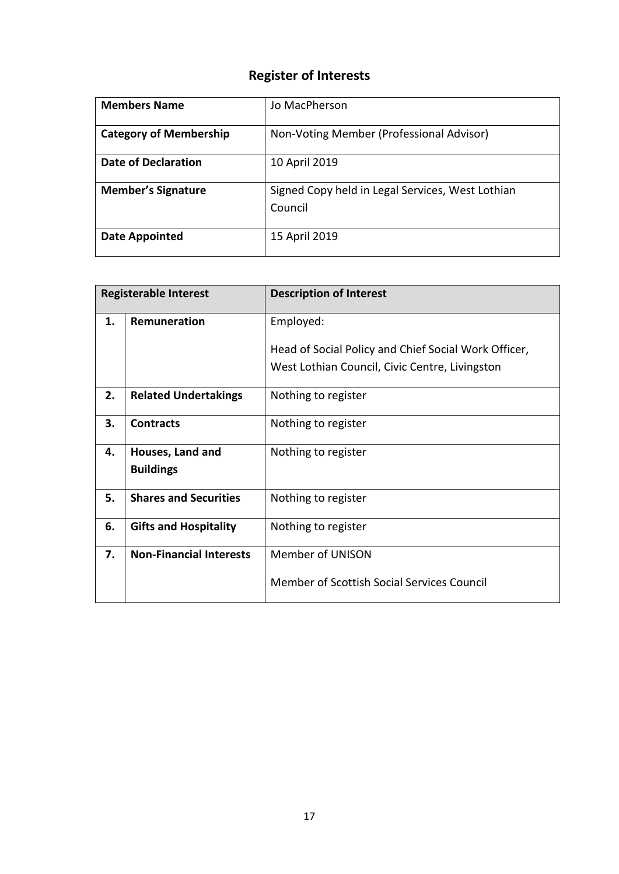| <b>Members Name</b>           | Jo MacPherson                                               |
|-------------------------------|-------------------------------------------------------------|
| <b>Category of Membership</b> | Non-Voting Member (Professional Advisor)                    |
| Date of Declaration           | 10 April 2019                                               |
| <b>Member's Signature</b>     | Signed Copy held in Legal Services, West Lothian<br>Council |
| Date Appointed                | 15 April 2019                                               |

| <b>Registerable Interest</b> |                                | <b>Description of Interest</b>                       |
|------------------------------|--------------------------------|------------------------------------------------------|
| 1.                           | Remuneration                   | Employed:                                            |
|                              |                                | Head of Social Policy and Chief Social Work Officer, |
|                              |                                | West Lothian Council, Civic Centre, Livingston       |
| 2.                           | <b>Related Undertakings</b>    | Nothing to register                                  |
| 3.                           | <b>Contracts</b>               | Nothing to register                                  |
| 4.                           | Houses, Land and               | Nothing to register                                  |
|                              | <b>Buildings</b>               |                                                      |
| 5.                           | <b>Shares and Securities</b>   | Nothing to register                                  |
| 6.                           | <b>Gifts and Hospitality</b>   | Nothing to register                                  |
| 7.                           | <b>Non-Financial Interests</b> | <b>Member of UNISON</b>                              |
|                              |                                | Member of Scottish Social Services Council           |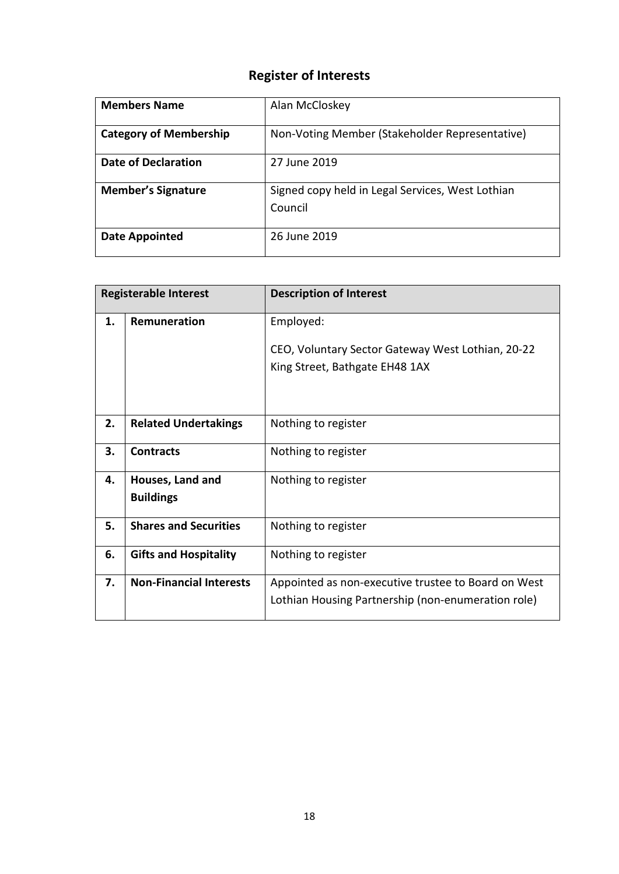| <b>Members Name</b>           | Alan McCloskey                                              |
|-------------------------------|-------------------------------------------------------------|
| <b>Category of Membership</b> | Non-Voting Member (Stakeholder Representative)              |
| Date of Declaration           | 27 June 2019                                                |
| <b>Member's Signature</b>     | Signed copy held in Legal Services, West Lothian<br>Council |
| Date Appointed                | 26 June 2019                                                |

| <b>Registerable Interest</b> |                                      | <b>Description of Interest</b>                                                                            |
|------------------------------|--------------------------------------|-----------------------------------------------------------------------------------------------------------|
| 1.                           | <b>Remuneration</b>                  | Employed:                                                                                                 |
|                              |                                      | CEO, Voluntary Sector Gateway West Lothian, 20-22<br>King Street, Bathgate EH48 1AX                       |
| 2.                           | <b>Related Undertakings</b>          | Nothing to register                                                                                       |
| 3.                           | <b>Contracts</b>                     | Nothing to register                                                                                       |
| 4.                           | Houses, Land and<br><b>Buildings</b> | Nothing to register                                                                                       |
| 5.                           | <b>Shares and Securities</b>         | Nothing to register                                                                                       |
| 6.                           | <b>Gifts and Hospitality</b>         | Nothing to register                                                                                       |
| 7.                           | <b>Non-Financial Interests</b>       | Appointed as non-executive trustee to Board on West<br>Lothian Housing Partnership (non-enumeration role) |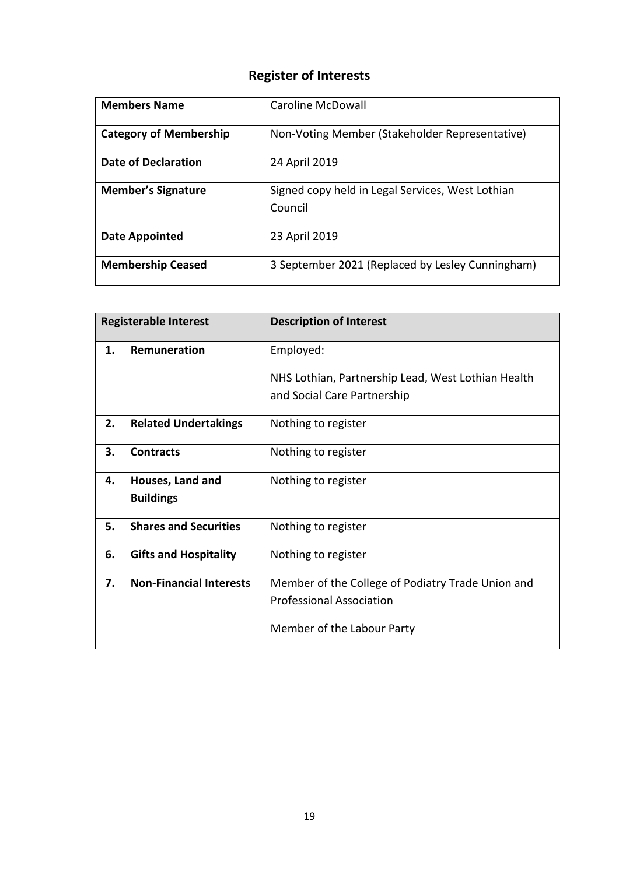| <b>Members Name</b>           | Caroline McDowall                                           |
|-------------------------------|-------------------------------------------------------------|
| <b>Category of Membership</b> | Non-Voting Member (Stakeholder Representative)              |
| Date of Declaration           | 24 April 2019                                               |
| <b>Member's Signature</b>     | Signed copy held in Legal Services, West Lothian<br>Council |
| Date Appointed                | 23 April 2019                                               |
| <b>Membership Ceased</b>      | 3 September 2021 (Replaced by Lesley Cunningham)            |

| <b>Registerable Interest</b> |                                | <b>Description of Interest</b>                                                    |
|------------------------------|--------------------------------|-----------------------------------------------------------------------------------|
| 1.                           | Remuneration                   | Employed:                                                                         |
|                              |                                | NHS Lothian, Partnership Lead, West Lothian Health<br>and Social Care Partnership |
| 2.                           | <b>Related Undertakings</b>    | Nothing to register                                                               |
| 3.                           | <b>Contracts</b>               | Nothing to register                                                               |
| 4.                           | Houses, Land and               | Nothing to register                                                               |
|                              | <b>Buildings</b>               |                                                                                   |
| 5.                           | <b>Shares and Securities</b>   | Nothing to register                                                               |
| 6.                           | <b>Gifts and Hospitality</b>   | Nothing to register                                                               |
| 7.                           | <b>Non-Financial Interests</b> | Member of the College of Podiatry Trade Union and                                 |
|                              |                                | <b>Professional Association</b>                                                   |
|                              |                                | Member of the Labour Party                                                        |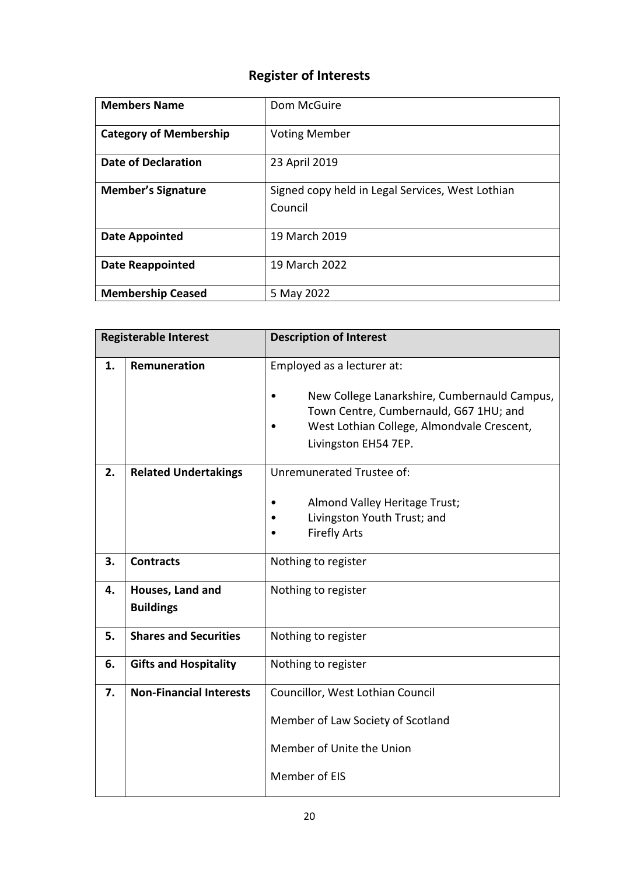| <b>Members Name</b>           | Dom McGuire                                                 |
|-------------------------------|-------------------------------------------------------------|
| <b>Category of Membership</b> | <b>Voting Member</b>                                        |
| Date of Declaration           | 23 April 2019                                               |
| <b>Member's Signature</b>     | Signed copy held in Legal Services, West Lothian<br>Council |
| <b>Date Appointed</b>         | 19 March 2019                                               |
| <b>Date Reappointed</b>       | 19 March 2022                                               |
| <b>Membership Ceased</b>      | 5 May 2022                                                  |

| <b>Registerable Interest</b> |                                      | <b>Description of Interest</b>                                                                                                                                                             |
|------------------------------|--------------------------------------|--------------------------------------------------------------------------------------------------------------------------------------------------------------------------------------------|
| 1.                           | Remuneration                         | Employed as a lecturer at:<br>New College Lanarkshire, Cumbernauld Campus,<br>Town Centre, Cumbernauld, G67 1HU; and<br>West Lothian College, Almondvale Crescent,<br>Livingston EH54 7EP. |
| 2.                           | <b>Related Undertakings</b>          | Unremunerated Trustee of:<br>Almond Valley Heritage Trust;<br>Livingston Youth Trust; and<br><b>Firefly Arts</b>                                                                           |
| 3.                           | <b>Contracts</b>                     | Nothing to register                                                                                                                                                                        |
| 4.                           | Houses, Land and<br><b>Buildings</b> | Nothing to register                                                                                                                                                                        |
| 5.                           | <b>Shares and Securities</b>         | Nothing to register                                                                                                                                                                        |
| 6.                           | <b>Gifts and Hospitality</b>         | Nothing to register                                                                                                                                                                        |
| 7.                           | <b>Non-Financial Interests</b>       | Councillor, West Lothian Council<br>Member of Law Society of Scotland<br>Member of Unite the Union<br>Member of EIS                                                                        |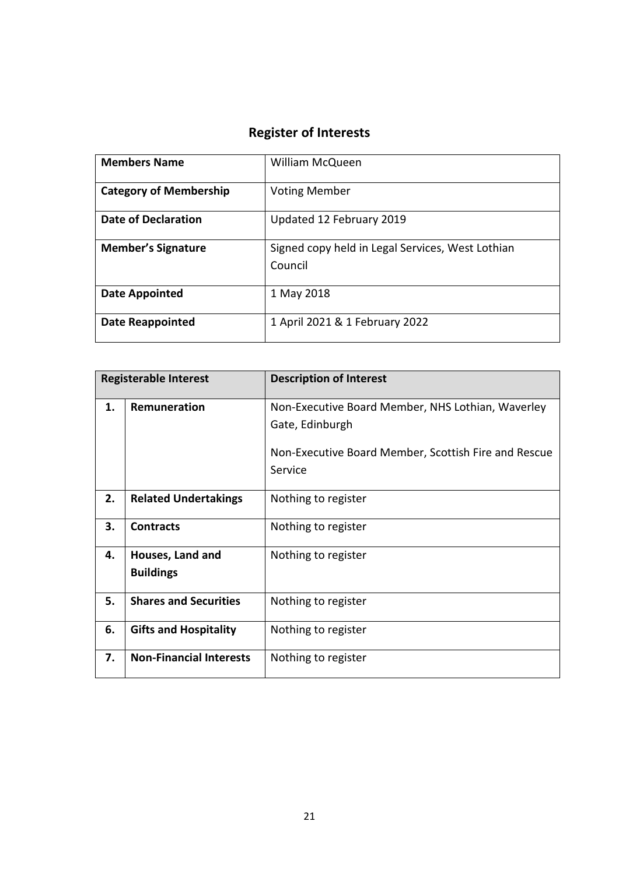| <b>Members Name</b>           | <b>William McQueen</b>                                      |
|-------------------------------|-------------------------------------------------------------|
| <b>Category of Membership</b> | <b>Voting Member</b>                                        |
| <b>Date of Declaration</b>    | Updated 12 February 2019                                    |
| <b>Member's Signature</b>     | Signed copy held in Legal Services, West Lothian<br>Council |
| <b>Date Appointed</b>         | 1 May 2018                                                  |
| <b>Date Reappointed</b>       | 1 April 2021 & 1 February 2022                              |

| <b>Registerable Interest</b> |                                      | <b>Description of Interest</b>                       |
|------------------------------|--------------------------------------|------------------------------------------------------|
| 1.                           | Remuneration                         | Non-Executive Board Member, NHS Lothian, Waverley    |
|                              |                                      | Gate, Edinburgh                                      |
|                              |                                      | Non-Executive Board Member, Scottish Fire and Rescue |
|                              |                                      | Service                                              |
| 2.                           | <b>Related Undertakings</b>          | Nothing to register                                  |
| 3.                           | <b>Contracts</b>                     | Nothing to register                                  |
| 4.                           | Houses, Land and<br><b>Buildings</b> | Nothing to register                                  |
| 5.                           | <b>Shares and Securities</b>         | Nothing to register                                  |
| 6.                           | <b>Gifts and Hospitality</b>         | Nothing to register                                  |
| 7.                           | <b>Non-Financial Interests</b>       | Nothing to register                                  |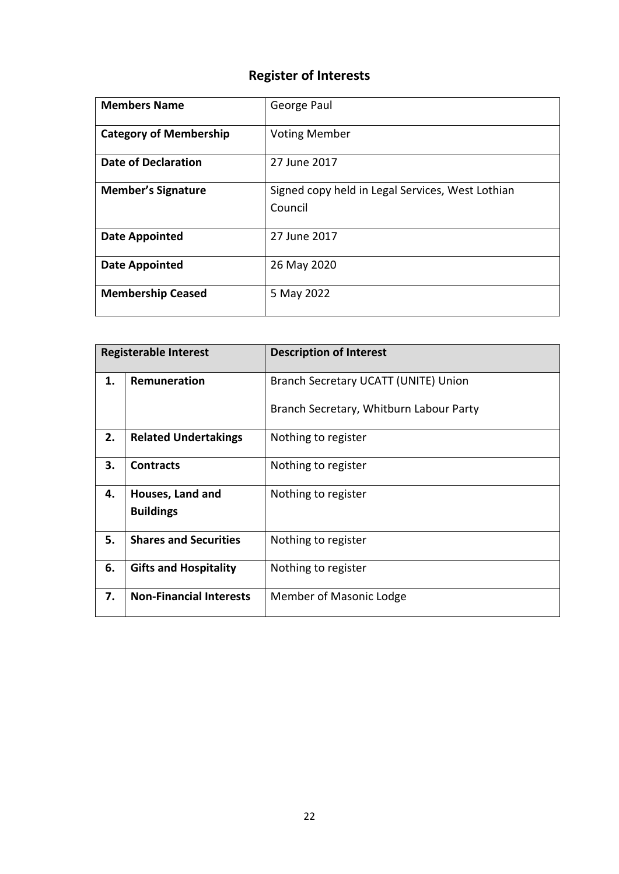| <b>Members Name</b>           | George Paul                                                 |
|-------------------------------|-------------------------------------------------------------|
| <b>Category of Membership</b> | <b>Voting Member</b>                                        |
| <b>Date of Declaration</b>    | 27 June 2017                                                |
| <b>Member's Signature</b>     | Signed copy held in Legal Services, West Lothian<br>Council |
| <b>Date Appointed</b>         | 27 June 2017                                                |
| <b>Date Appointed</b>         | 26 May 2020                                                 |
| <b>Membership Ceased</b>      | 5 May 2022                                                  |

| <b>Registerable Interest</b> |                                | <b>Description of Interest</b>          |
|------------------------------|--------------------------------|-----------------------------------------|
| 1.                           | <b>Remuneration</b>            | Branch Secretary UCATT (UNITE) Union    |
|                              |                                | Branch Secretary, Whitburn Labour Party |
| 2.                           | <b>Related Undertakings</b>    | Nothing to register                     |
| 3.                           | <b>Contracts</b>               | Nothing to register                     |
| 4.                           | Houses, Land and               | Nothing to register                     |
|                              | <b>Buildings</b>               |                                         |
| 5.                           | <b>Shares and Securities</b>   | Nothing to register                     |
| 6.                           | <b>Gifts and Hospitality</b>   | Nothing to register                     |
| 7.                           | <b>Non-Financial Interests</b> | Member of Masonic Lodge                 |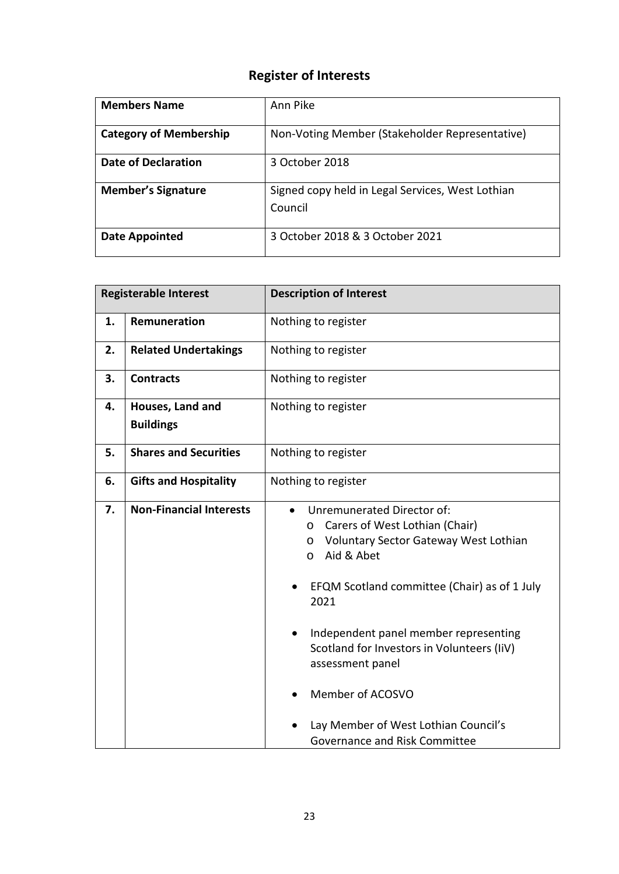| <b>Members Name</b>           | Ann Pike                                                    |
|-------------------------------|-------------------------------------------------------------|
| <b>Category of Membership</b> | Non-Voting Member (Stakeholder Representative)              |
| Date of Declaration           | 3 October 2018                                              |
| <b>Member's Signature</b>     | Signed copy held in Legal Services, West Lothian<br>Council |
| Date Appointed                | 3 October 2018 & 3 October 2021                             |

| <b>Registerable Interest</b> |                                      | <b>Description of Interest</b>                                                                                                                                                                                                                                                                                                                                                                                                           |
|------------------------------|--------------------------------------|------------------------------------------------------------------------------------------------------------------------------------------------------------------------------------------------------------------------------------------------------------------------------------------------------------------------------------------------------------------------------------------------------------------------------------------|
| 1.                           | Remuneration                         | Nothing to register                                                                                                                                                                                                                                                                                                                                                                                                                      |
| 2.                           | <b>Related Undertakings</b>          | Nothing to register                                                                                                                                                                                                                                                                                                                                                                                                                      |
| 3.                           | <b>Contracts</b>                     | Nothing to register                                                                                                                                                                                                                                                                                                                                                                                                                      |
| 4.                           | Houses, Land and<br><b>Buildings</b> | Nothing to register                                                                                                                                                                                                                                                                                                                                                                                                                      |
| 5.                           | <b>Shares and Securities</b>         | Nothing to register                                                                                                                                                                                                                                                                                                                                                                                                                      |
| 6.                           | <b>Gifts and Hospitality</b>         | Nothing to register                                                                                                                                                                                                                                                                                                                                                                                                                      |
| 7.                           | <b>Non-Financial Interests</b>       | Unremunerated Director of:<br>$\bullet$<br>Carers of West Lothian (Chair)<br>$\circ$<br>Voluntary Sector Gateway West Lothian<br>$\circ$<br>Aid & Abet<br>$\circ$<br>EFQM Scotland committee (Chair) as of 1 July<br>2021<br>Independent panel member representing<br>Scotland for Investors in Volunteers (IiV)<br>assessment panel<br>Member of ACOSVO<br>Lay Member of West Lothian Council's<br><b>Governance and Risk Committee</b> |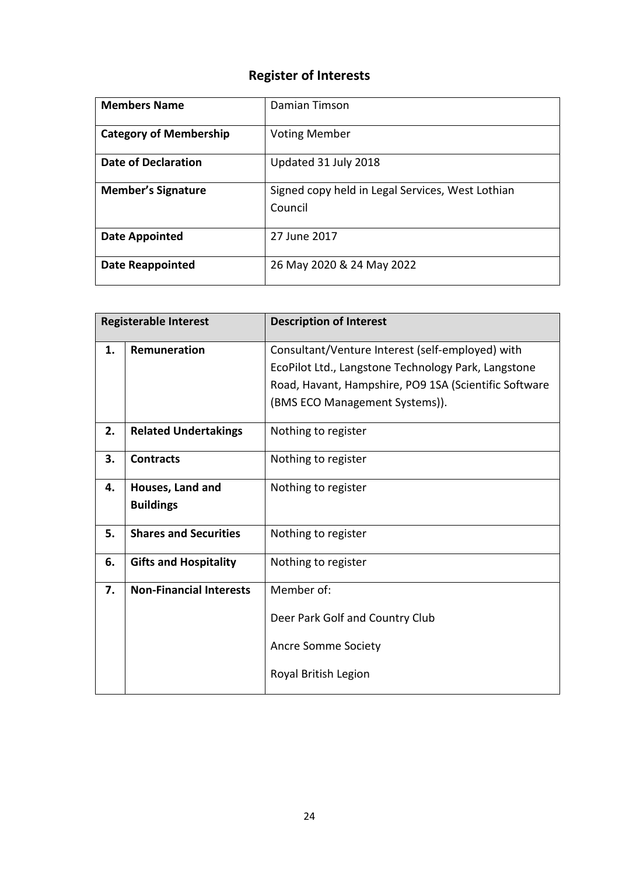| <b>Members Name</b>           | Damian Timson                                               |
|-------------------------------|-------------------------------------------------------------|
| <b>Category of Membership</b> | <b>Voting Member</b>                                        |
| Date of Declaration           | Updated 31 July 2018                                        |
| <b>Member's Signature</b>     | Signed copy held in Legal Services, West Lothian<br>Council |
| Date Appointed                | 27 June 2017                                                |
| <b>Date Reappointed</b>       | 26 May 2020 & 24 May 2022                                   |

| <b>Registerable Interest</b> |                                | <b>Description of Interest</b>                                                                          |
|------------------------------|--------------------------------|---------------------------------------------------------------------------------------------------------|
| 1.                           | Remuneration                   | Consultant/Venture Interest (self-employed) with<br>EcoPilot Ltd., Langstone Technology Park, Langstone |
|                              |                                | Road, Havant, Hampshire, PO9 1SA (Scientific Software                                                   |
|                              |                                | (BMS ECO Management Systems)).                                                                          |
| 2.                           | <b>Related Undertakings</b>    | Nothing to register                                                                                     |
| 3.                           | <b>Contracts</b>               | Nothing to register                                                                                     |
| 4.                           | Houses, Land and               | Nothing to register                                                                                     |
|                              | <b>Buildings</b>               |                                                                                                         |
| 5.                           | <b>Shares and Securities</b>   | Nothing to register                                                                                     |
| 6.                           | <b>Gifts and Hospitality</b>   | Nothing to register                                                                                     |
| 7.                           | <b>Non-Financial Interests</b> | Member of:                                                                                              |
|                              |                                | Deer Park Golf and Country Club                                                                         |
|                              |                                | <b>Ancre Somme Society</b>                                                                              |
|                              |                                | Royal British Legion                                                                                    |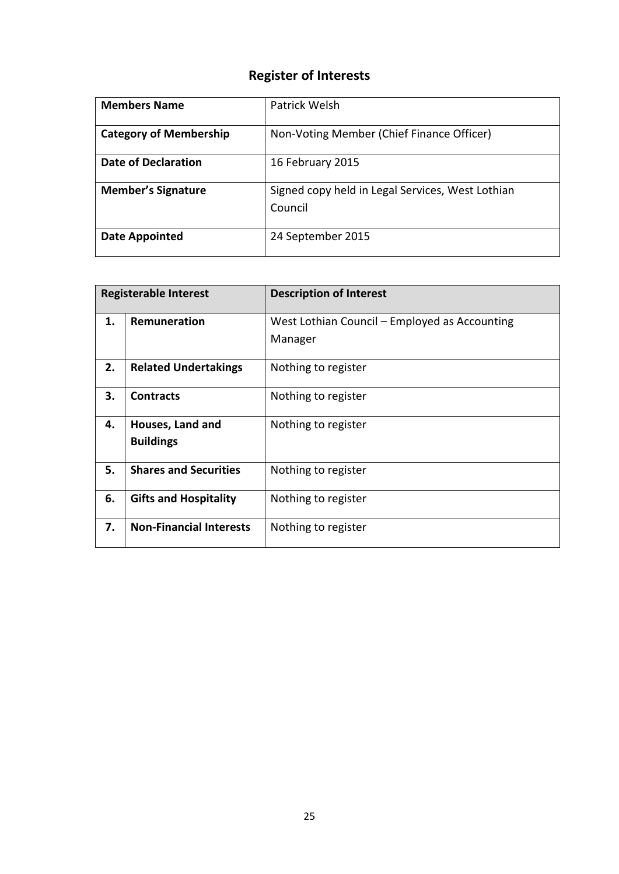| <b>Members Name</b>           | Patrick Welsh                                               |
|-------------------------------|-------------------------------------------------------------|
| <b>Category of Membership</b> | Non-Voting Member (Chief Finance Officer)                   |
| Date of Declaration           | 16 February 2015                                            |
| <b>Member's Signature</b>     | Signed copy held in Legal Services, West Lothian<br>Council |
| Date Appointed                | 24 September 2015                                           |

| <b>Registerable Interest</b> |                                | <b>Description of Interest</b>                |
|------------------------------|--------------------------------|-----------------------------------------------|
| 1.                           | Remuneration                   | West Lothian Council – Employed as Accounting |
|                              |                                | Manager                                       |
| 2.                           | <b>Related Undertakings</b>    | Nothing to register                           |
| 3.                           | <b>Contracts</b>               | Nothing to register                           |
| 4.                           | Houses, Land and               | Nothing to register                           |
|                              | <b>Buildings</b>               |                                               |
| 5.                           | <b>Shares and Securities</b>   | Nothing to register                           |
| 6.                           | <b>Gifts and Hospitality</b>   | Nothing to register                           |
| 7.                           | <b>Non-Financial Interests</b> | Nothing to register                           |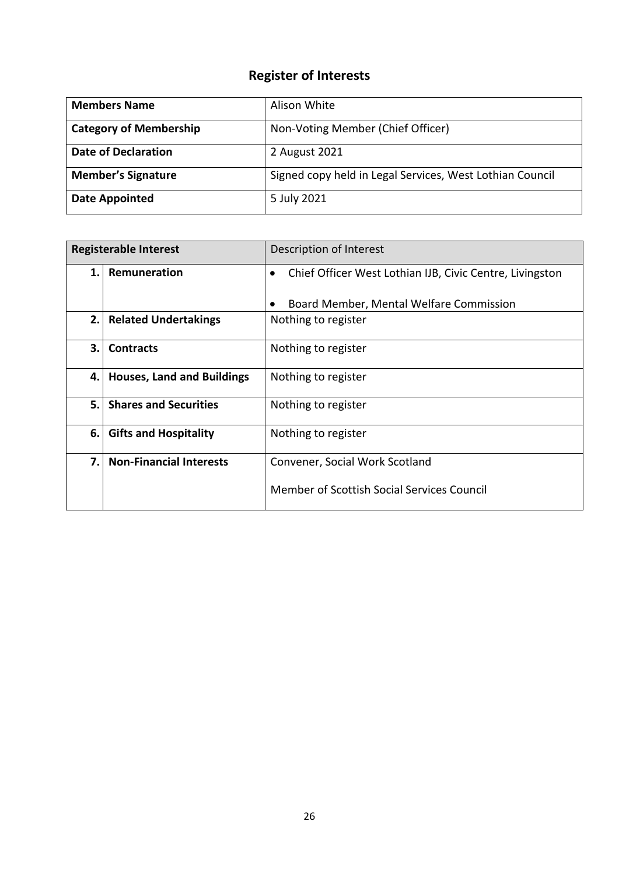| <b>Members Name</b>           | Alison White                                             |
|-------------------------------|----------------------------------------------------------|
| <b>Category of Membership</b> | Non-Voting Member (Chief Officer)                        |
| <b>Date of Declaration</b>    | 2 August 2021                                            |
| <b>Member's Signature</b>     | Signed copy held in Legal Services, West Lothian Council |
| <b>Date Appointed</b>         | 5 July 2021                                              |

| <b>Registerable Interest</b> |                                   | Description of Interest                                               |
|------------------------------|-----------------------------------|-----------------------------------------------------------------------|
| 1.                           | Remuneration                      | Chief Officer West Lothian IJB, Civic Centre, Livingston<br>$\bullet$ |
|                              |                                   | Board Member, Mental Welfare Commission                               |
| 2.1                          | <b>Related Undertakings</b>       | Nothing to register                                                   |
| 3.                           | <b>Contracts</b>                  | Nothing to register                                                   |
| 4. I                         | <b>Houses, Land and Buildings</b> | Nothing to register                                                   |
| 5.                           | <b>Shares and Securities</b>      | Nothing to register                                                   |
| 6.                           | <b>Gifts and Hospitality</b>      | Nothing to register                                                   |
| 7.                           | <b>Non-Financial Interests</b>    | Convener, Social Work Scotland                                        |
|                              |                                   | Member of Scottish Social Services Council                            |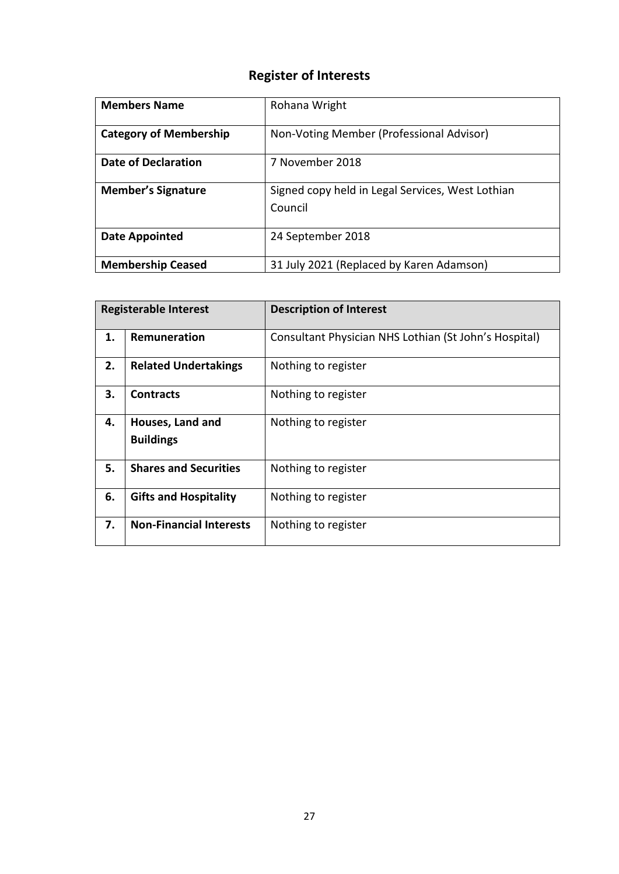| <b>Members Name</b>           | Rohana Wright                                               |
|-------------------------------|-------------------------------------------------------------|
| <b>Category of Membership</b> | Non-Voting Member (Professional Advisor)                    |
| Date of Declaration           | 7 November 2018                                             |
| <b>Member's Signature</b>     | Signed copy held in Legal Services, West Lothian<br>Council |
| Date Appointed                | 24 September 2018                                           |
| <b>Membership Ceased</b>      | 31 July 2021 (Replaced by Karen Adamson)                    |

| <b>Registerable Interest</b> |                                      | <b>Description of Interest</b>                        |
|------------------------------|--------------------------------------|-------------------------------------------------------|
| 1.                           | Remuneration                         | Consultant Physician NHS Lothian (St John's Hospital) |
| 2.                           | <b>Related Undertakings</b>          | Nothing to register                                   |
| 3.                           | <b>Contracts</b>                     | Nothing to register                                   |
| 4.                           | Houses, Land and<br><b>Buildings</b> | Nothing to register                                   |
| 5.                           | <b>Shares and Securities</b>         | Nothing to register                                   |
| 6.                           | <b>Gifts and Hospitality</b>         | Nothing to register                                   |
| 7.                           | <b>Non-Financial Interests</b>       | Nothing to register                                   |